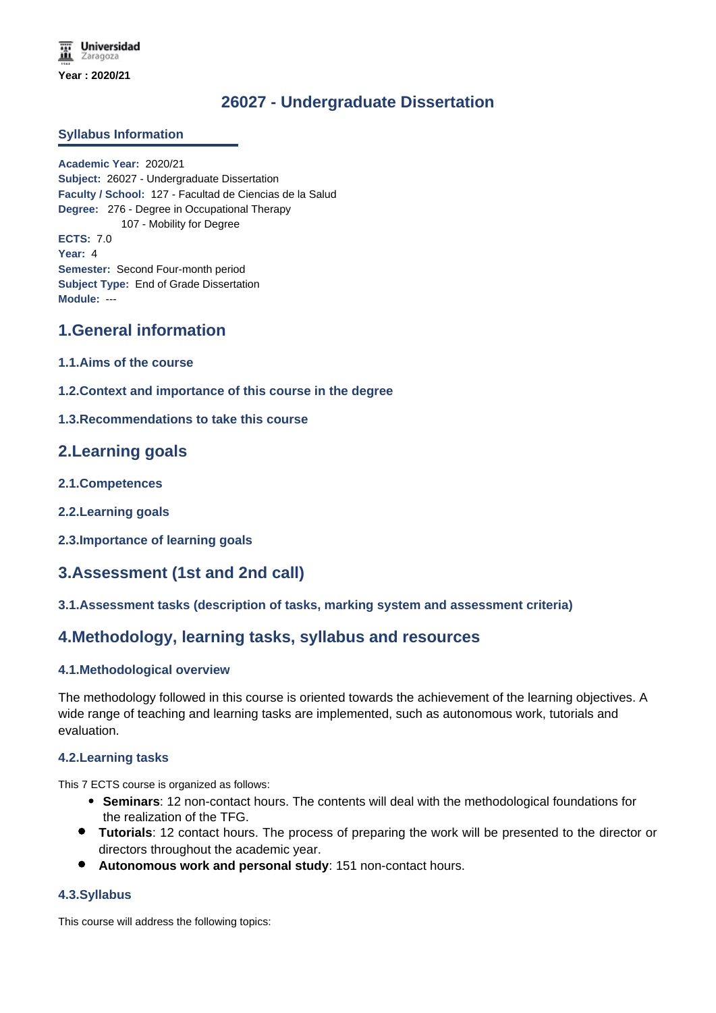**Universidad** Zaragoza **Year : 2020/21**

# **26027 - Undergraduate Dissertation**

### **Syllabus Information**

**Academic Year:** 2020/21 **Subject:** 26027 - Undergraduate Dissertation **Faculty / School:** 127 - Facultad de Ciencias de la Salud **Degree:** 276 - Degree in Occupational Therapy 107 - Mobility for Degree **ECTS:** 7.0 **Year:** 4 **Semester:** Second Four-month period **Subject Type:** End of Grade Dissertation **Module:** ---

### **1.General information**

- **1.1.Aims of the course**
- **1.2.Context and importance of this course in the degree**
- **1.3.Recommendations to take this course**

### **2.Learning goals**

- **2.1.Competences**
- **2.2.Learning goals**
- **2.3.Importance of learning goals**

# **3.Assessment (1st and 2nd call)**

### **3.1.Assessment tasks (description of tasks, marking system and assessment criteria)**

# **4.Methodology, learning tasks, syllabus and resources**

### **4.1.Methodological overview**

The methodology followed in this course is oriented towards the achievement of the learning objectives. A wide range of teaching and learning tasks are implemented, such as autonomous work, tutorials and evaluation.

### **4.2.Learning tasks**

This 7 ECTS course is organized as follows:

- **Seminars**: 12 non-contact hours. The contents will deal with the methodological foundations for the realization of the TFG.
- **Tutorials**: 12 contact hours. The process of preparing the work will be presented to the director or directors throughout the academic year.
- **Autonomous work and personal study**: 151 non-contact hours.

### **4.3.Syllabus**

This course will address the following topics: